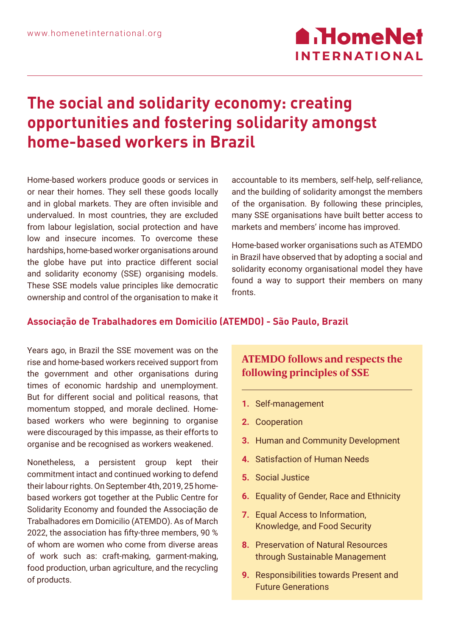# **The social and solidarity economy: creating opportunities and fostering solidarity amongst home-based workers in Brazil**

Home-based workers produce goods or services in or near their homes. They sell these goods locally and in global markets. They are often invisible and undervalued. In most countries, they are excluded from labour legislation, social protection and have low and insecure incomes. To overcome these hardships, home-based worker organisations around the globe have put into practice different social and solidarity economy (SSE) organising models. These SSE models value principles like democratic ownership and control of the organisation to make it accountable to its members, self-help, self-reliance, and the building of solidarity amongst the members of the organisation. By following these principles, many SSE organisations have built better access to markets and members' income has improved.

Home-based worker organisations such as ATEMDO in Brazil have observed that by adopting a social and solidarity economy organisational model they have found a way to support their members on many fronts.

## **Associação de Trabalhadores em Domicilio (ATEMDO) - São Paulo, Brazil**

Years ago, in Brazil the SSE movement was on the rise and home-based workers received support from the government and other organisations during times of economic hardship and unemployment. But for different social and political reasons, that momentum stopped, and morale declined. Homebased workers who were beginning to organise were discouraged by this impasse, as their efforts to organise and be recognised as workers weakened.

Nonetheless, a persistent group kept their commitment intact and continued working to defend their labour rights. On September 4th, 2019, 25 homebased workers got together at the Public Centre for Solidarity Economy and founded the Associação de Trabalhadores em Domicilio (ATEMDO). As of March 2022, the association has fifty-three members, 90 % of whom are women who come from diverse areas of work such as: craft-making, garment-making, food production, urban agriculture, and the recycling of products.

## **ATEMDO follows and respects the following principles of SSE**

- **1.** Self-management
- **2.** Cooperation
- **3.** Human and Community Development
- **4.** Satisfaction of Human Needs
- **5.** Social Justice
- **6.** Equality of Gender, Race and Ethnicity
- **7.** Equal Access to Information, Knowledge, and Food Security
- **8.** Preservation of Natural Resources through Sustainable Management
- **9.** Responsibilities towards Present and Future Generations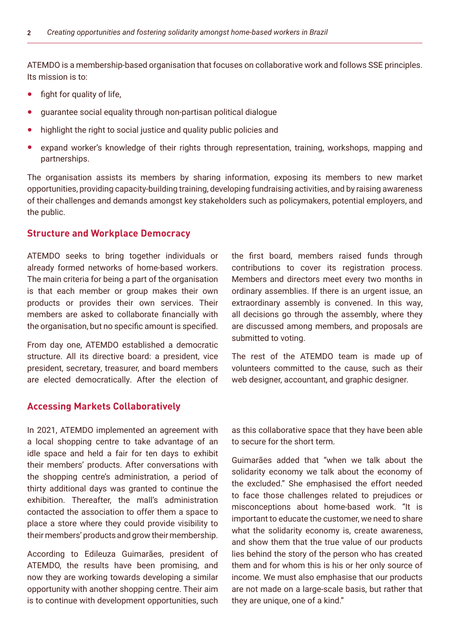ATEMDO is a membership-based organisation that focuses on collaborative work and follows SSE principles. Its mission is to:

- **•** fight for quality of life,
- **•** guarantee social equality through non-partisan political dialogue
- **•** highlight the right to social justice and quality public policies and
- **•** expand worker's knowledge of their rights through representation, training, workshops, mapping and partnerships.

The organisation assists its members by sharing information, exposing its members to new market opportunities, providing capacity-building training, developing fundraising activities, and by raising awareness of their challenges and demands amongst key stakeholders such as policymakers, potential employers, and the public.

### **Structure and Workplace Democracy**

ATEMDO seeks to bring together individuals or already formed networks of home-based workers. The main criteria for being a part of the organisation is that each member or group makes their own products or provides their own services. Their members are asked to collaborate financially with the organisation, but no specific amount is specified.

From day one, ATEMDO established a democratic structure. All its directive board: a president, vice president, secretary, treasurer, and board members are elected democratically. After the election of

### **Accessing Markets Collaboratively**

In 2021, ATEMDO implemented an agreement with a local shopping centre to take advantage of an idle space and held a fair for ten days to exhibit their members' products. After conversations with the shopping centre's administration, a period of thirty additional days was granted to continue the exhibition. Thereafter, the mall's administration contacted the association to offer them a space to place a store where they could provide visibility to their members' products and grow their membership.

According to Edileuza Guimarães, president of ATEMDO, the results have been promising, and now they are working towards developing a similar opportunity with another shopping centre. Their aim is to continue with development opportunities, such the first board, members raised funds through contributions to cover its registration process. Members and directors meet every two months in ordinary assemblies. If there is an urgent issue, an extraordinary assembly is convened. In this way, all decisions go through the assembly, where they are discussed among members, and proposals are submitted to voting.

The rest of the ATEMDO team is made up of volunteers committed to the cause, such as their web designer, accountant, and graphic designer.

as this collaborative space that they have been able to secure for the short term.

Guimarães added that "when we talk about the solidarity economy we talk about the economy of the excluded." She emphasised the effort needed to face those challenges related to prejudices or misconceptions about home-based work. "It is important to educate the customer, we need to share what the solidarity economy is, create awareness, and show them that the true value of our products lies behind the story of the person who has created them and for whom this is his or her only source of income. We must also emphasise that our products are not made on a large-scale basis, but rather that they are unique, one of a kind."